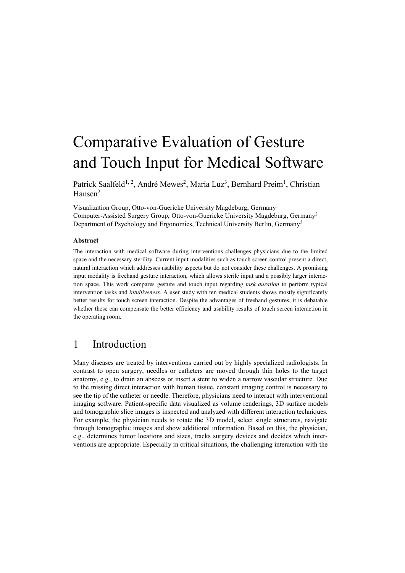# Comparative Evaluation of Gesture and Touch Input for Medical Software

Patrick Saalfeld<sup>1, 2</sup>, André Mewes<sup>2</sup>, Maria Luz<sup>3</sup>, Bernhard Preim<sup>1</sup>, Christian Hansen<sup>2</sup>

Visualization Group, Otto-von-Guericke University Magdeburg, Germany<sup>1</sup> Computer-Assisted Surgery Group, Otto-von-Guericke University Magdeburg, Germany<sup>2</sup> Department of Psychology and Ergonomics, Technical University Berlin, Germany<sup>3</sup>

#### **Abstract**

The interaction with medical software during interventions challenges physicians due to the limited space and the necessary sterility. Current input modalities such as touch screen control present a direct, natural interaction which addresses usability aspects but do not consider these challenges. A promising input modality is freehand gesture interaction, which allows sterile input and a possibly larger interaction space. This work compares gesture and touch input regarding *task duration* to perform typical intervention tasks and *intuitiveness*. A user study with ten medical students shows mostly significantly better results for touch screen interaction. Despite the advantages of freehand gestures, it is debatable whether these can compensate the better efficiency and usability results of touch screen interaction in the operating room.

# 1 Introduction

Many diseases are treated by interventions carried out by highly specialized radiologists. In contrast to open surgery, needles or catheters are moved through thin holes to the target anatomy, e.g., to drain an abscess or insert a stent to widen a narrow vascular structure. Due to the missing direct interaction with human tissue, constant imaging control is necessary to see the tip of the catheter or needle. Therefore, physicians need to interact with interventional imaging software. Patient-specific data visualized as volume renderings, 3D surface models and tomographic slice images is inspected and analyzed with different interaction techniques. For example, the physician needs to rotate the 3D model, select single structures, navigate through tomographic images and show additional information. Based on this, the physician, e.g., determines tumor locations and sizes, tracks surgery devices and decides which interventions are appropriate. Especially in critical situations, the challenging interaction with the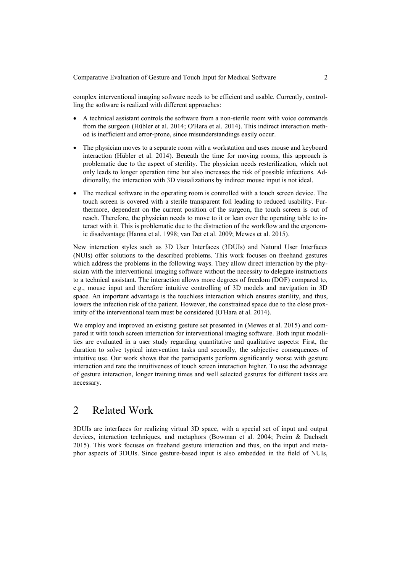complex interventional imaging software needs to be efficient and usable. Currently, controlling the software is realized with different approaches:

- A technical assistant controls the software from a non-sterile room with voice commands from the surgeon (Hübler et al. 2014; O'Hara et al. 2014). This indirect interaction method is inefficient and error-prone, since misunderstandings easily occur.
- The physician moves to a separate room with a workstation and uses mouse and keyboard interaction (Hübler et al. 2014). Beneath the time for moving rooms, this approach is problematic due to the aspect of sterility. The physician needs resterilization, which not only leads to longer operation time but also increases the risk of possible infections. Additionally, the interaction with 3D visualizations by indirect mouse input is not ideal.
- The medical software in the operating room is controlled with a touch screen device. The touch screen is covered with a sterile transparent foil leading to reduced usability. Furthermore, dependent on the current position of the surgeon, the touch screen is out of reach. Therefore, the physician needs to move to it or lean over the operating table to interact with it. This is problematic due to the distraction of the workflow and the ergonomic disadvantage (Hanna et al. 1998; van Det et al. 2009; Mewes et al. 2015).

New interaction styles such as 3D User Interfaces (3DUIs) and Natural User Interfaces (NUIs) offer solutions to the described problems. This work focuses on freehand gestures which address the problems in the following ways. They allow direct interaction by the physician with the interventional imaging software without the necessity to delegate instructions to a technical assistant. The interaction allows more degrees of freedom (DOF) compared to, e.g., mouse input and therefore intuitive controlling of 3D models and navigation in 3D space. An important advantage is the touchless interaction which ensures sterility, and thus, lowers the infection risk of the patient. However, the constrained space due to the close proximity of the interventional team must be considered (O'Hara et al. 2014).

We employ and improved an existing gesture set presented in (Mewes et al. 2015) and compared it with touch screen interaction for interventional imaging software. Both input modalities are evaluated in a user study regarding quantitative and qualitative aspects: First, the duration to solve typical intervention tasks and secondly, the subjective consequences of intuitive use. Our work shows that the participants perform significantly worse with gesture interaction and rate the intuitiveness of touch screen interaction higher. To use the advantage of gesture interaction, longer training times and well selected gestures for different tasks are necessary.

# 2 Related Work

3DUIs are interfaces for realizing virtual 3D space, with a special set of input and output devices, interaction techniques, and metaphors (Bowman et al. 2004; Preim & Dachselt 2015). This work focuses on freehand gesture interaction and thus, on the input and metaphor aspects of 3DUIs. Since gesture-based input is also embedded in the field of NUIs,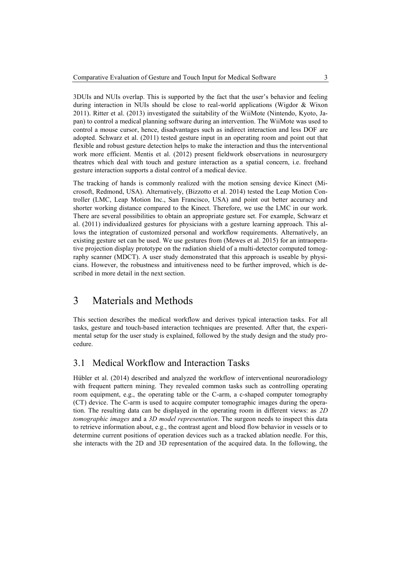3DUIs and NUIs overlap. This is supported by the fact that the user's behavior and feeling during interaction in NUIs should be close to real-world applications (Wigdor & Wixon 2011). Ritter et al. (2013) investigated the suitability of the WiiMote (Nintendo, Kyoto, Japan) to control a medical planning software during an intervention. The WiiMote was used to control a mouse cursor, hence, disadvantages such as indirect interaction and less DOF are adopted. Schwarz et al. (2011) tested gesture input in an operating room and point out that flexible and robust gesture detection helps to make the interaction and thus the interventional work more efficient. Mentis et al. (2012) present fieldwork observations in neurosurgery theatres which deal with touch and gesture interaction as a spatial concern, i.e. freehand gesture interaction supports a distal control of a medical device.

The tracking of hands is commonly realized with the motion sensing device Kinect (Microsoft, Redmond, USA). Alternatively, (Bizzotto et al. 2014) tested the Leap Motion Controller (LMC, Leap Motion Inc., San Francisco, USA) and point out better accuracy and shorter working distance compared to the Kinect. Therefore, we use the LMC in our work. There are several possibilities to obtain an appropriate gesture set. For example, Schwarz et al. (2011) individualized gestures for physicians with a gesture learning approach. This allows the integration of customized personal and workflow requirements. Alternatively, an existing gesture set can be used. We use gestures from (Mewes et al. 2015) for an intraoperative projection display prototype on the radiation shield of a multi-detector computed tomography scanner (MDCT). A user study demonstrated that this approach is useable by physicians. However, the robustness and intuitiveness need to be further improved, which is described in more detail in the next section.

## 3 Materials and Methods

This section describes the medical workflow and derives typical interaction tasks. For all tasks, gesture and touch-based interaction techniques are presented. After that, the experimental setup for the user study is explained, followed by the study design and the study procedure.

## 3.1 Medical Workflow and Interaction Tasks

Hübler et al. (2014) described and analyzed the workflow of interventional neuroradiology with frequent pattern mining. They revealed common tasks such as controlling operating room equipment, e.g., the operating table or the C-arm, a c-shaped computer tomography (CT) device. The C-arm is used to acquire computer tomographic images during the operation. The resulting data can be displayed in the operating room in different views: as *2D tomographic images* and a *3D model representation*. The surgeon needs to inspect this data to retrieve information about, e.g., the contrast agent and blood flow behavior in vessels or to determine current positions of operation devices such as a tracked ablation needle. For this, she interacts with the 2D and 3D representation of the acquired data. In the following, the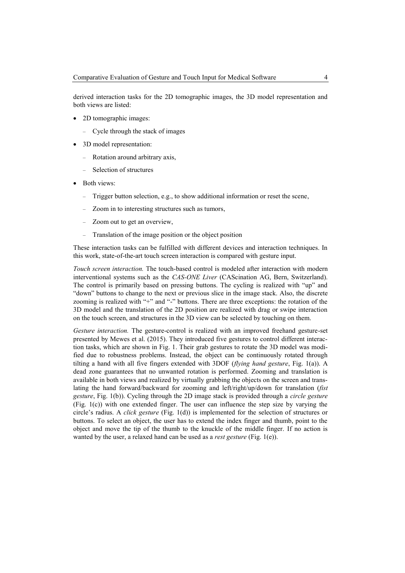derived interaction tasks for the 2D tomographic images, the 3D model representation and both views are listed:

- 2D tomographic images:
	- Cycle through the stack of images
- 3D model representation:
	- Rotation around arbitrary axis,
	- Selection of structures
- Both views:
	- Trigger button selection, e.g., to show additional information or reset the scene,
	- Zoom in to interesting structures such as tumors,
	- Zoom out to get an overview,
	- Translation of the image position or the object position

These interaction tasks can be fulfilled with different devices and interaction techniques. In this work, state-of-the-art touch screen interaction is compared with gesture input.

*Touch screen interaction.* The touch-based control is modeled after interaction with modern interventional systems such as the *CAS-ONE Liver* (CAScination AG, Bern, Switzerland). The control is primarily based on pressing buttons. The cycling is realized with "up" and "down" buttons to change to the next or previous slice in the image stack. Also, the discrete zooming is realized with "+" and "-" buttons. There are three exceptions: the rotation of the 3D model and the translation of the 2D position are realized with drag or swipe interaction on the touch screen, and structures in the 3D view can be selected by touching on them.

*Gesture interaction.* The gesture-control is realized with an improved freehand gesture-set presented by Mewes et al. (2015). They introduced five gestures to control different interaction tasks, which are shown in Fig. 1. Their grab gestures to rotate the 3D model was modified due to robustness problems. Instead, the object can be continuously rotated through tilting a hand with all five fingers extended with 3DOF (*flying hand gesture*, Fig. 1(a)). A dead zone guarantees that no unwanted rotation is performed. Zooming and translation is available in both views and realized by virtually grabbing the objects on the screen and translating the hand forward/backward for zooming and left/right/up/down for translation (*fist gesture*, Fig. 1(b)). Cycling through the 2D image stack is provided through a *circle gesture* (Fig. 1(c)) with one extended finger. The user can influence the step size by varying the circle's radius. A *click gesture* (Fig. 1(d)) is implemented for the selection of structures or buttons. To select an object, the user has to extend the index finger and thumb, point to the object and move the tip of the thumb to the knuckle of the middle finger. If no action is wanted by the user, a relaxed hand can be used as a *rest gesture* (Fig. 1(e)).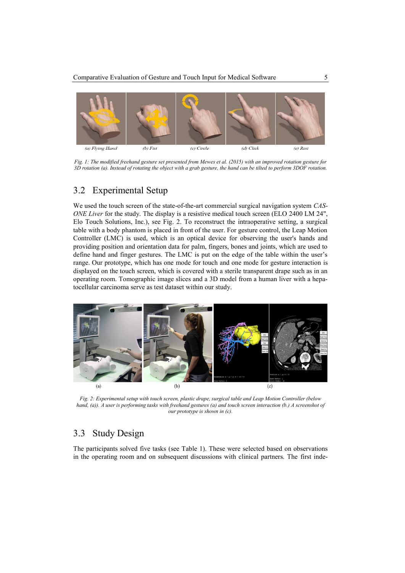

*Fig. 1: The modified freehand gesture set presented from Mewes et al. (2015) with an improved rotation gesture for 3D rotation (a). Instead of rotating the object with a grab gesture, the hand can be tilted to perform 3DOF rotation.*

## 3.2 Experimental Setup

We used the touch screen of the state-of-the-art commercial surgical navigation system *CAS-ONE Liver* for the study. The display is a resistive medical touch screen (ELO 2400 LM 24", Elo Touch Solutions, Inc.), see Fig. 2. To reconstruct the intraoperative setting, a surgical table with a body phantom is placed in front of the user. For gesture control, the Leap Motion Controller (LMC) is used, which is an optical device for observing the user's hands and providing position and orientation data for palm, fingers, bones and joints, which are used to define hand and finger gestures. The LMC is put on the edge of the table within the user's range. Our prototype, which has one mode for touch and one mode for gesture interaction is displayed on the touch screen, which is covered with a sterile transparent drape such as in an operating room. Tomographic image slices and a 3D model from a human liver with a hepatocellular carcinoma serve as test dataset within our study.



*Fig. 2: Experimental setup with touch screen, plastic drape, surgical table and Leap Motion Controller (below hand, (a)). A user is performing tasks with freehand gestures (a) and touch screen interaction (b.) A screenshot of our prototype is shown in (c).*

## 3.3 Study Design

The participants solved five tasks (see Table 1). These were selected based on observations in the operating room and on subsequent discussions with clinical partners. The first inde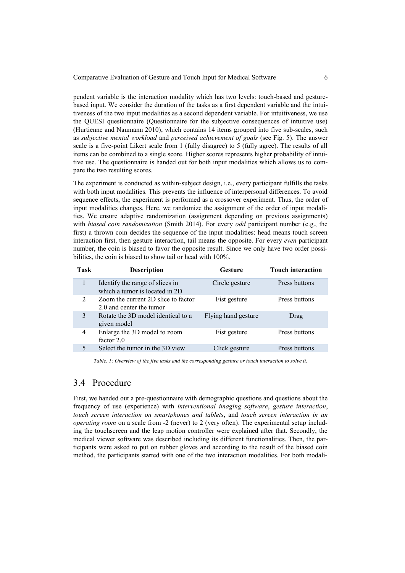pendent variable is the interaction modality which has two levels: touch-based and gesturebased input. We consider the duration of the tasks as a first dependent variable and the intuitiveness of the two input modalities as a second dependent variable. For intuitiveness, we use the QUESI questionnaire (Questionnaire for the subjective consequences of intuitive use) (Hurtienne and Naumann 2010), which contains 14 items grouped into five sub-scales, such as *subjective mental workload* and *perceived achievement of goals* (see Fig. 5). The answer scale is a five-point Likert scale from 1 (fully disagree) to 5 (fully agree). The results of all items can be combined to a single score. Higher scores represents higher probability of intuitive use. The questionnaire is handed out for both input modalities which allows us to compare the two resulting scores.

The experiment is conducted as within-subject design, i.e., every participant fulfills the tasks with both input modalities. This prevents the influence of interpersonal differences. To avoid sequence effects, the experiment is performed as a crossover experiment. Thus, the order of input modalities changes. Here, we randomize the assignment of the order of input modalities. We ensure adaptive randomization (assignment depending on previous assignments) with *biased coin randomization* (Smith 2014). For every *odd* participant number (e.g., the first) a thrown coin decides the sequence of the input modalities: head means touch screen interaction first, then gesture interaction, tail means the opposite. For every *even* participant number, the coin is biased to favor the opposite result. Since we only have two order possibilities, the coin is biased to show tail or head with 100%.

| Task | <b>Description</b>                                                | <b>Gesture</b>      | <b>Touch interaction</b> |
|------|-------------------------------------------------------------------|---------------------|--------------------------|
|      | Identify the range of slices in<br>which a tumor is located in 2D | Circle gesture      | Press buttons            |
| 2    | Zoom the current 2D slice to factor<br>2.0 and center the tumor   | Fist gesture        | Press buttons            |
| 3    | Rotate the 3D model identical to a<br>given model                 | Flying hand gesture | Drag                     |
| 4    | Enlarge the 3D model to zoom<br>factor 2.0                        | Fist gesture        | Press buttons            |
|      | Select the tumor in the 3D view                                   | Click gesture       | Press buttons            |

*Table. 1: Overview of the five tasks and the corresponding gesture or touch interaction to solve it.*

## 3.4 Procedure

First, we handed out a pre-questionnaire with demographic questions and questions about the frequency of use (experience) with *interventional imaging software*, *gesture interaction*, *touch screen interaction on smartphones and tablets*, and *touch screen interaction in an operating room* on a scale from -2 (never) to 2 (very often). The experimental setup including the touchscreen and the leap motion controller were explained after that. Secondly, the medical viewer software was described including its different functionalities. Then, the participants were asked to put on rubber gloves and according to the result of the biased coin method, the participants started with one of the two interaction modalities. For both modali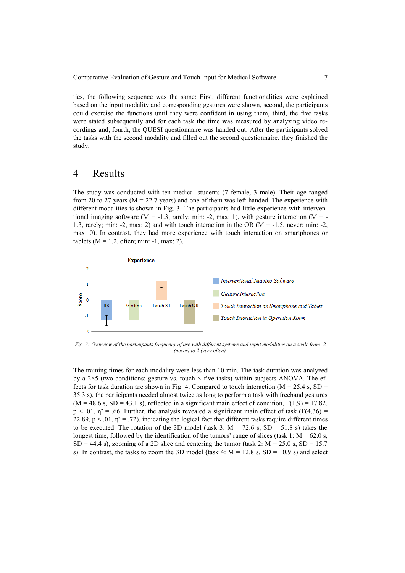ties, the following sequence was the same: First, different functionalities were explained based on the input modality and corresponding gestures were shown, second, the participants could exercise the functions until they were confident in using them, third, the five tasks were stated subsequently and for each task the time was measured by analyzing video recordings and, fourth, the QUESI questionnaire was handed out. After the participants solved the tasks with the second modality and filled out the second questionnaire, they finished the study.

## 4 Results

The study was conducted with ten medical students (7 female, 3 male). Their age ranged from 20 to 27 years ( $M = 22.7$  years) and one of them was left-handed. The experience with different modalities is shown in Fig. 3. The participants had little experience with interventional imaging software ( $M = -1.3$ , rarely; min: -2, max: 1), with gesture interaction ( $M = -1$ 1.3, rarely; min: -2, max: 2) and with touch interaction in the OR (M = -1.5, never; min: -2, max: 0). In contrast, they had more experience with touch interaction on smartphones or tablets ( $M = 1.2$ , often; min: -1, max: 2).



*Fig. 3: Overview of the participants frequency of use with different systems and input modalities on a scale from -2 (never) to 2 (very often).*

The training times for each modality were less than 10 min. The task duration was analyzed by a  $2\times5$  (two conditions: gesture vs. touch  $\times$  five tasks) within-subjects ANOVA. The effects for task duration are shown in Fig. 4. Compared to touch interaction ( $M = 25.4$  s, SD = 35.3 s), the participants needed almost twice as long to perform a task with freehand gestures  $(M = 48.6 \text{ s}, SD = 43.1 \text{ s})$ , reflected in a significant main effect of condition,  $F(1,9) = 17.82$ .  $p < .01$ ,  $\eta^2 = .66$ . Further, the analysis revealed a significant main effect of task (F(4,36) = 22.89,  $p < 0.01$ ,  $\eta^2 = 0.72$ ), indicating the logical fact that different tasks require different times to be executed. The rotation of the 3D model (task 3:  $M = 72.6$  s,  $SD = 51.8$  s) takes the longest time, followed by the identification of the tumors' range of slices (task 1:  $M = 62.0$  s,  $SD = 44.4$  s), zooming of a 2D slice and centering the tumor (task 2: M = 25.0 s, SD = 15.7 s). In contrast, the tasks to zoom the 3D model (task 4:  $M = 12.8$  s,  $SD = 10.9$  s) and select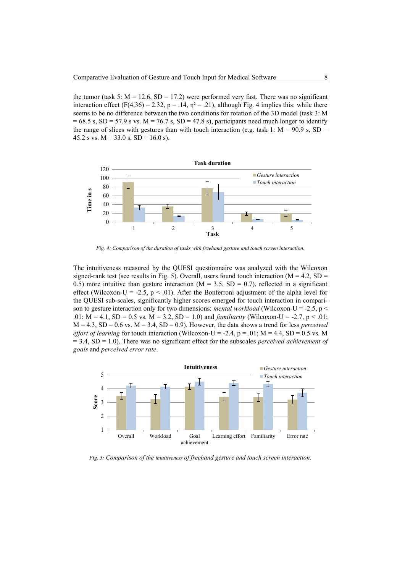the tumor (task 5:  $M = 12.6$ ,  $SD = 17.2$ ) were performed very fast. There was no significant interaction effect (F(4,36) = 2.32, p = .14,  $\eta^2$  = .21), although Fig. 4 implies this: while there seems to be no difference between the two conditions for rotation of the 3D model (task 3: M  $= 68.5$  s, SD = 57.9 s vs. M = 76.7 s, SD = 47.8 s), participants need much longer to identify the range of slices with gestures than with touch interaction (e.g. task 1:  $M = 90.9$  s,  $SD =$ 45.2 s vs.  $M = 33.0$  s,  $SD = 16.0$  s).



*Fig. 4: Comparison of the duration of tasks with freehand gesture and touch screen interaction.*

The intuitiveness measured by the QUESI questionnaire was analyzed with the Wilcoxon signed-rank test (see results in Fig. 5). Overall, users found touch interaction ( $M = 4.2$ ,  $SD =$ 0.5) more intuitive than gesture interaction ( $M = 3.5$ , SD = 0.7), reflected in a significant effect (Wilcoxon-U = -2.5,  $p < .01$ ). After the Bonferroni adjustment of the alpha level for the QUESI sub-scales, significantly higher scores emerged for touch interaction in comparison to gesture interaction only for two dimensions: *mental workload* (Wilcoxon-U = -2.5, p < .01;  $M = 4.1$ ,  $SD = 0.5$  vs.  $M = 3.2$ ,  $SD = 1.0$ ) and *familiarity* (Wilcoxon-U = -2.7, p < .01;  $M = 4.3$ ,  $SD = 0.6$  vs.  $M = 3.4$ ,  $SD = 0.9$ ). However, the data shows a trend for less *perceived effort of learning* for touch interaction (Wilcoxon-U = -2.4, p = .01; M = 4.4, SD = 0.5 vs. M = 3.4, SD = 1.0). There was no significant effect for the subscales *perceived achievement of goals* and *perceived error rate*.



*Fig. 5: Comparison of the intuitiveness of freehand gesture and touch screen interaction.*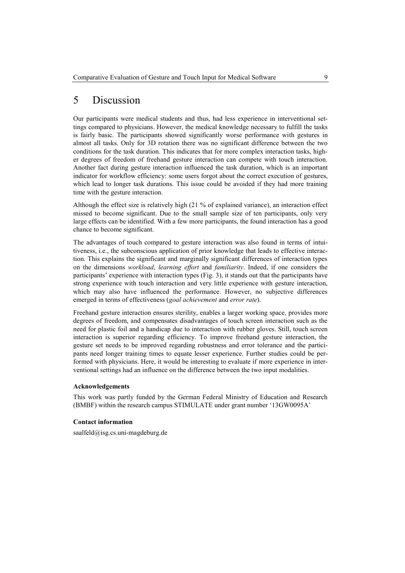# 5 Discussion

Our participants were medical students and thus, had less experience in interventional settings compared to physicians. However, the medical knowledge necessary to fulfill the tasks is fairly basic. The participants showed significantly worse performance with gestures in almost all tasks. Only for 3D rotation there was no significant difference between the two conditions for the task duration. This indicates that for more complex interaction tasks, higher degrees of freedom of freehand gesture interaction can compete with touch interaction. Another fact during gesture interaction influenced the task duration, which is an important indicator for workflow efficiency: some users forgot about the correct execution of gestures, which lead to longer task durations. This issue could be avoided if they had more training time with the gesture interaction.

Although the effect size is relatively high (21 % of explained variance), an interaction effect missed to become significant. Due to the small sample size of ten participants, only very large effects can be identified. With a few more participants, the found interaction has a good chance to become significant.

The advantages of touch compared to gesture interaction was also found in terms of intuitiveness, i.e., the subconscious application of prior knowledge that leads to effective interaction. This explains the significant and marginally significant differences of interaction types on the dimensions *workload*, *learning effort* and *familiarity*. Indeed, if one considers the participants' experience with interaction types (Fig. 3), it stands out that the participants have strong experience with touch interaction and very little experience with gesture interaction, which may also have influenced the performance. However, no subjective differences emerged in terms of effectiveness (*goal achievement* and *error rate*).

Freehand gesture interaction ensures sterility, enables a larger working space, provides more degrees of freedom, and compensates disadvantages of touch screen interaction such as the need for plastic foil and a handicap due to interaction with rubber gloves. Still, touch screen interaction is superior regarding efficiency. To improve freehand gesture interaction, the gesture set needs to be improved regarding robustness and error tolerance and the participants need longer training times to equate lesser experience. Further studies could be performed with physicians. Here, it would be interesting to evaluate if more experience in interventional settings had an influence on the difference between the two input modalities.

#### **Acknowledgements**

This work was partly funded by the German Federal Ministry of Education and Research (BMBF) within the research campus STIMULATE under grant number '13GW0095A'

#### **Contact information**

saalfeld@isg.cs.uni-magdeburg.de